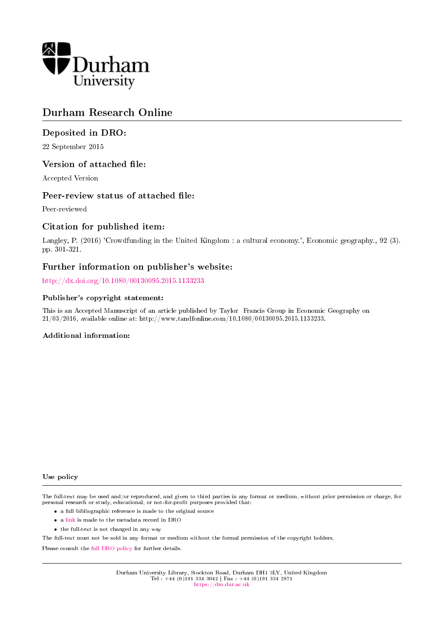

# Durham Research Online

# Deposited in DRO:

22 September 2015

# Version of attached file:

Accepted Version

# Peer-review status of attached file:

Peer-reviewed

# Citation for published item:

Langley, P. (2016) 'Crowdfunding in the United Kingdom : a cultural economy.', Economic geography., 92 (3). pp. 301-321.

# Further information on publisher's website:

<http://dx.doi.org/10.1080/00130095.2015.1133233>

## Publisher's copyright statement:

This is an Accepted Manuscript of an article published by Taylor Francis Group in Economic Geography on 21/03/2016, available online at: http://www.tandfonline.com/10.1080/00130095.2015.1133233.

## Additional information:

#### Use policy

The full-text may be used and/or reproduced, and given to third parties in any format or medium, without prior permission or charge, for personal research or study, educational, or not-for-profit purposes provided that:

- a full bibliographic reference is made to the original source
- a [link](http://dro.dur.ac.uk/16443/) is made to the metadata record in DRO
- the full-text is not changed in any way

The full-text must not be sold in any format or medium without the formal permission of the copyright holders.

Please consult the [full DRO policy](https://dro.dur.ac.uk/policies/usepolicy.pdf) for further details.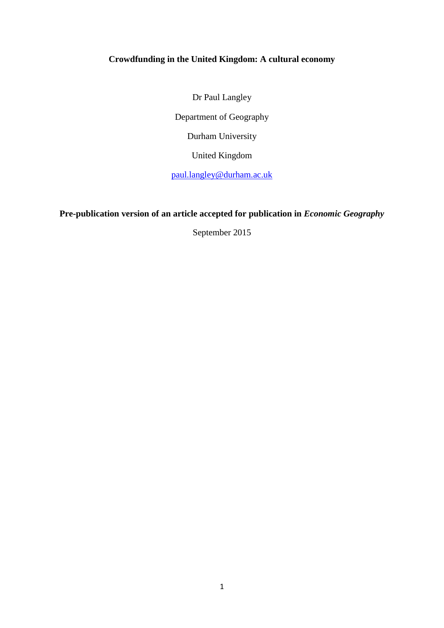# **Crowdfunding in the United Kingdom: A cultural economy**

Dr Paul Langley Department of Geography Durham University United Kingdom

[paul.langley@durham.ac.uk](mailto:paul.langley@durham.ac.uk)

# **Pre-publication version of an article accepted for publication in** *Economic Geography*

September 2015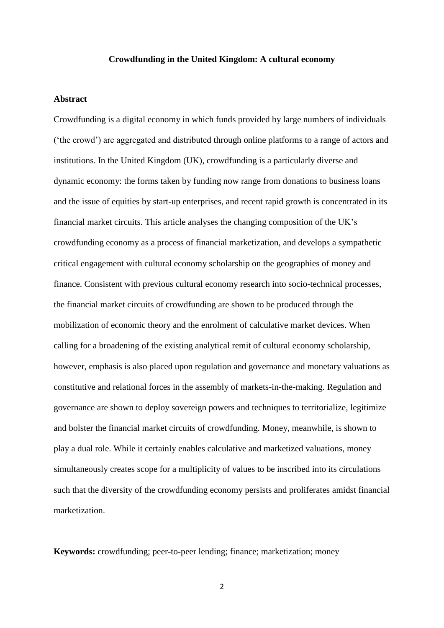## **Crowdfunding in the United Kingdom: A cultural economy**

## **Abstract**

Crowdfunding is a digital economy in which funds provided by large numbers of individuals ('the crowd') are aggregated and distributed through online platforms to a range of actors and institutions. In the United Kingdom (UK), crowdfunding is a particularly diverse and dynamic economy: the forms taken by funding now range from donations to business loans and the issue of equities by start-up enterprises, and recent rapid growth is concentrated in its financial market circuits. This article analyses the changing composition of the UK's crowdfunding economy as a process of financial marketization, and develops a sympathetic critical engagement with cultural economy scholarship on the geographies of money and finance. Consistent with previous cultural economy research into socio-technical processes, the financial market circuits of crowdfunding are shown to be produced through the mobilization of economic theory and the enrolment of calculative market devices. When calling for a broadening of the existing analytical remit of cultural economy scholarship, however, emphasis is also placed upon regulation and governance and monetary valuations as constitutive and relational forces in the assembly of markets-in-the-making. Regulation and governance are shown to deploy sovereign powers and techniques to territorialize, legitimize and bolster the financial market circuits of crowdfunding. Money, meanwhile, is shown to play a dual role. While it certainly enables calculative and marketized valuations, money simultaneously creates scope for a multiplicity of values to be inscribed into its circulations such that the diversity of the crowdfunding economy persists and proliferates amidst financial marketization.

**Keywords:** crowdfunding; peer-to-peer lending; finance; marketization; money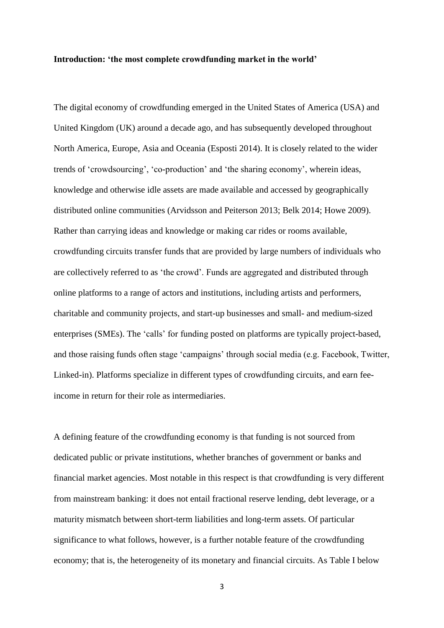### **Introduction: 'the most complete crowdfunding market in the world'**

The digital economy of crowdfunding emerged in the United States of America (USA) and United Kingdom (UK) around a decade ago, and has subsequently developed throughout North America, Europe, Asia and Oceania (Esposti 2014). It is closely related to the wider trends of 'crowdsourcing', 'co-production' and 'the sharing economy', wherein ideas, knowledge and otherwise idle assets are made available and accessed by geographically distributed online communities (Arvidsson and Peiterson 2013; Belk 2014; Howe 2009). Rather than carrying ideas and knowledge or making car rides or rooms available, crowdfunding circuits transfer funds that are provided by large numbers of individuals who are collectively referred to as 'the crowd'. Funds are aggregated and distributed through online platforms to a range of actors and institutions, including artists and performers, charitable and community projects, and start-up businesses and small- and medium-sized enterprises (SMEs). The 'calls' for funding posted on platforms are typically project-based, and those raising funds often stage 'campaigns' through social media (e.g. Facebook, Twitter, Linked-in). Platforms specialize in different types of crowdfunding circuits, and earn feeincome in return for their role as intermediaries.

A defining feature of the crowdfunding economy is that funding is not sourced from dedicated public or private institutions, whether branches of government or banks and financial market agencies. Most notable in this respect is that crowdfunding is very different from mainstream banking: it does not entail fractional reserve lending, debt leverage, or a maturity mismatch between short-term liabilities and long-term assets. Of particular significance to what follows, however, is a further notable feature of the crowdfunding economy; that is, the heterogeneity of its monetary and financial circuits. As Table I below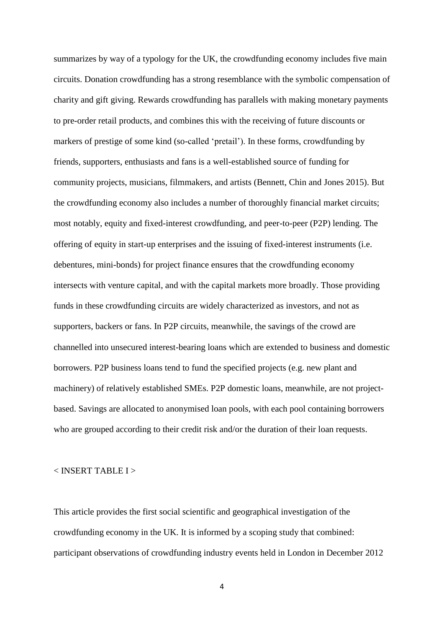summarizes by way of a typology for the UK, the crowdfunding economy includes five main circuits. Donation crowdfunding has a strong resemblance with the symbolic compensation of charity and gift giving. Rewards crowdfunding has parallels with making monetary payments to pre-order retail products, and combines this with the receiving of future discounts or markers of prestige of some kind (so-called 'pretail'). In these forms, crowdfunding by friends, supporters, enthusiasts and fans is a well-established source of funding for community projects, musicians, filmmakers, and artists (Bennett, Chin and Jones 2015). But the crowdfunding economy also includes a number of thoroughly financial market circuits; most notably, equity and fixed-interest crowdfunding, and peer-to-peer (P2P) lending. The offering of equity in start-up enterprises and the issuing of fixed-interest instruments (i.e. debentures, mini-bonds) for project finance ensures that the crowdfunding economy intersects with venture capital, and with the capital markets more broadly. Those providing funds in these crowdfunding circuits are widely characterized as investors, and not as supporters, backers or fans. In P2P circuits, meanwhile, the savings of the crowd are channelled into unsecured interest-bearing loans which are extended to business and domestic borrowers. P2P business loans tend to fund the specified projects (e.g. new plant and machinery) of relatively established SMEs. P2P domestic loans, meanwhile, are not projectbased. Savings are allocated to anonymised loan pools, with each pool containing borrowers who are grouped according to their credit risk and/or the duration of their loan requests.

## < INSERT TABLE I >

This article provides the first social scientific and geographical investigation of the crowdfunding economy in the UK. It is informed by a scoping study that combined: participant observations of crowdfunding industry events held in London in December 2012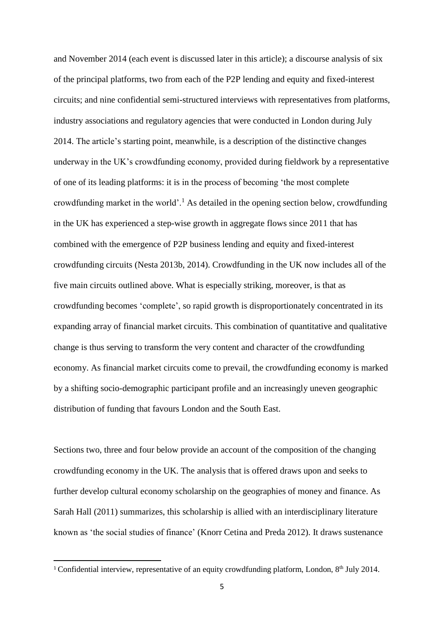and November 2014 (each event is discussed later in this article); a discourse analysis of six of the principal platforms, two from each of the P2P lending and equity and fixed-interest circuits; and nine confidential semi-structured interviews with representatives from platforms, industry associations and regulatory agencies that were conducted in London during July 2014. The article's starting point, meanwhile, is a description of the distinctive changes underway in the UK's crowdfunding economy, provided during fieldwork by a representative of one of its leading platforms: it is in the process of becoming 'the most complete crowdfunding market in the world'.<sup>1</sup> As detailed in the opening section below, crowdfunding in the UK has experienced a step-wise growth in aggregate flows since 2011 that has combined with the emergence of P2P business lending and equity and fixed-interest crowdfunding circuits (Nesta 2013b, 2014). Crowdfunding in the UK now includes all of the five main circuits outlined above. What is especially striking, moreover, is that as crowdfunding becomes 'complete', so rapid growth is disproportionately concentrated in its expanding array of financial market circuits. This combination of quantitative and qualitative change is thus serving to transform the very content and character of the crowdfunding economy. As financial market circuits come to prevail, the crowdfunding economy is marked by a shifting socio-demographic participant profile and an increasingly uneven geographic distribution of funding that favours London and the South East.

Sections two, three and four below provide an account of the composition of the changing crowdfunding economy in the UK. The analysis that is offered draws upon and seeks to further develop cultural economy scholarship on the geographies of money and finance. As Sarah Hall (2011) summarizes, this scholarship is allied with an interdisciplinary literature known as 'the social studies of finance' (Knorr Cetina and Preda 2012). It draws sustenance

**.** 

<sup>&</sup>lt;sup>1</sup> Confidential interview, representative of an equity crowdfunding platform, London,  $8<sup>th</sup>$  July 2014.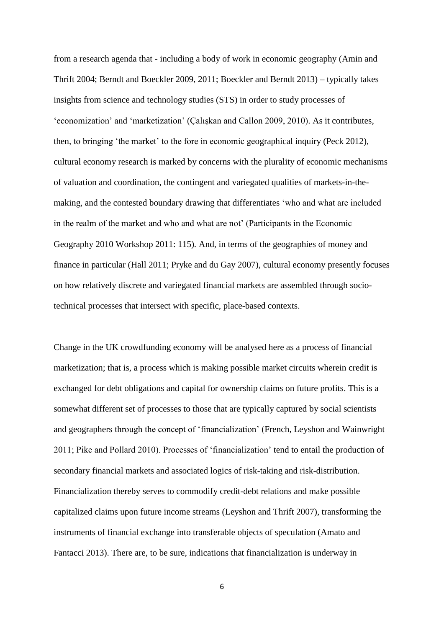from a research agenda that - including a body of work in economic geography (Amin and Thrift 2004; Berndt and Boeckler 2009, 2011; Boeckler and Berndt 2013) – typically takes insights from science and technology studies (STS) in order to study processes of 'economization' and 'marketization' (Çalışkan and Callon 2009, 2010). As it contributes, then, to bringing 'the market' to the fore in economic geographical inquiry (Peck 2012), cultural economy research is marked by concerns with the plurality of economic mechanisms of valuation and coordination, the contingent and variegated qualities of markets-in-themaking, and the contested boundary drawing that differentiates 'who and what are included in the realm of the market and who and what are not' (Participants in the Economic Geography 2010 Workshop 2011: 115)*.* And, in terms of the geographies of money and finance in particular (Hall 2011; Pryke and du Gay 2007), cultural economy presently focuses on how relatively discrete and variegated financial markets are assembled through sociotechnical processes that intersect with specific, place-based contexts.

Change in the UK crowdfunding economy will be analysed here as a process of financial marketization; that is, a process which is making possible market circuits wherein credit is exchanged for debt obligations and capital for ownership claims on future profits. This is a somewhat different set of processes to those that are typically captured by social scientists and geographers through the concept of 'financialization' (French, Leyshon and Wainwright 2011; Pike and Pollard 2010). Processes of 'financialization' tend to entail the production of secondary financial markets and associated logics of risk-taking and risk-distribution. Financialization thereby serves to commodify credit-debt relations and make possible capitalized claims upon future income streams (Leyshon and Thrift 2007), transforming the instruments of financial exchange into transferable objects of speculation (Amato and Fantacci 2013). There are, to be sure, indications that financialization is underway in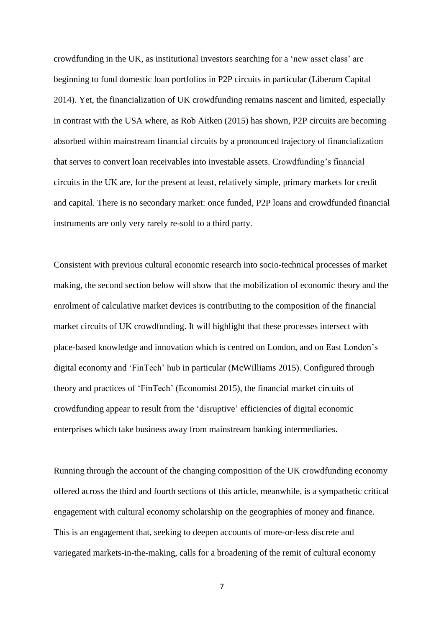crowdfunding in the UK, as institutional investors searching for a 'new asset class' are beginning to fund domestic loan portfolios in P2P circuits in particular (Liberum Capital 2014). Yet, the financialization of UK crowdfunding remains nascent and limited, especially in contrast with the USA where, as Rob Aitken (2015) has shown, P2P circuits are becoming absorbed within mainstream financial circuits by a pronounced trajectory of financialization that serves to convert loan receivables into investable assets. Crowdfunding's financial circuits in the UK are, for the present at least, relatively simple, primary markets for credit and capital. There is no secondary market: once funded, P2P loans and crowdfunded financial instruments are only very rarely re-sold to a third party.

Consistent with previous cultural economic research into socio-technical processes of market making, the second section below will show that the mobilization of economic theory and the enrolment of calculative market devices is contributing to the composition of the financial market circuits of UK crowdfunding. It will highlight that these processes intersect with place-based knowledge and innovation which is centred on London, and on East London's digital economy and 'FinTech' hub in particular (McWilliams 2015). Configured through theory and practices of 'FinTech' (Economist 2015), the financial market circuits of crowdfunding appear to result from the 'disruptive' efficiencies of digital economic enterprises which take business away from mainstream banking intermediaries.

Running through the account of the changing composition of the UK crowdfunding economy offered across the third and fourth sections of this article, meanwhile, is a sympathetic critical engagement with cultural economy scholarship on the geographies of money and finance. This is an engagement that, seeking to deepen accounts of more-or-less discrete and variegated markets-in-the-making, calls for a broadening of the remit of cultural economy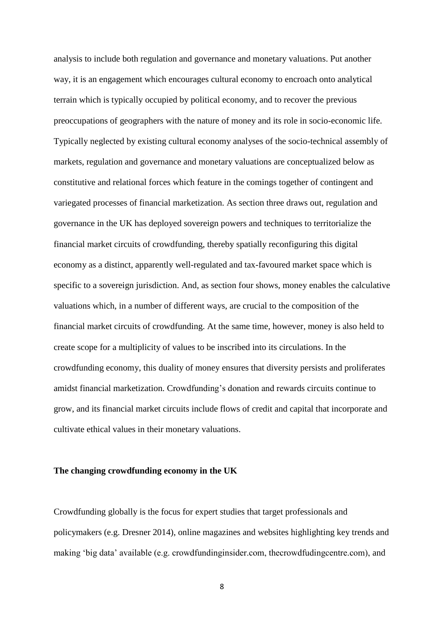analysis to include both regulation and governance and monetary valuations. Put another way, it is an engagement which encourages cultural economy to encroach onto analytical terrain which is typically occupied by political economy, and to recover the previous preoccupations of geographers with the nature of money and its role in socio-economic life. Typically neglected by existing cultural economy analyses of the socio-technical assembly of markets, regulation and governance and monetary valuations are conceptualized below as constitutive and relational forces which feature in the comings together of contingent and variegated processes of financial marketization. As section three draws out, regulation and governance in the UK has deployed sovereign powers and techniques to territorialize the financial market circuits of crowdfunding, thereby spatially reconfiguring this digital economy as a distinct, apparently well-regulated and tax-favoured market space which is specific to a sovereign jurisdiction. And, as section four shows, money enables the calculative valuations which, in a number of different ways, are crucial to the composition of the financial market circuits of crowdfunding. At the same time, however, money is also held to create scope for a multiplicity of values to be inscribed into its circulations. In the crowdfunding economy, this duality of money ensures that diversity persists and proliferates amidst financial marketization. Crowdfunding's donation and rewards circuits continue to grow, and its financial market circuits include flows of credit and capital that incorporate and cultivate ethical values in their monetary valuations.

## **The changing crowdfunding economy in the UK**

Crowdfunding globally is the focus for expert studies that target professionals and policymakers (e.g. Dresner 2014), online magazines and websites highlighting key trends and making 'big data' available (e.g. crowdfundinginsider.com, thecrowdfudingcentre.com), and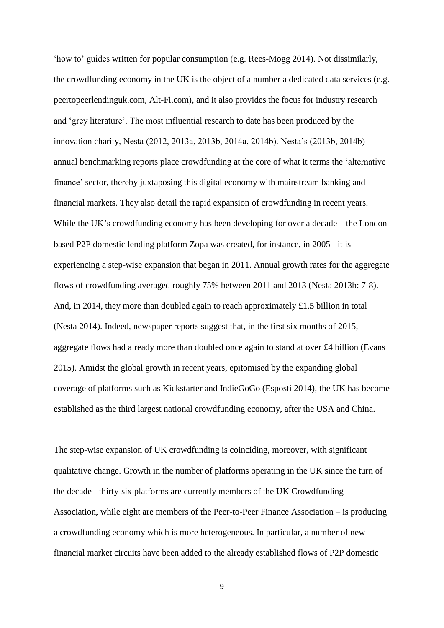'how to' guides written for popular consumption (e.g. Rees-Mogg 2014). Not dissimilarly, the crowdfunding economy in the UK is the object of a number a dedicated data services (e.g. peertopeerlendinguk.com, Alt-Fi.com), and it also provides the focus for industry research and 'grey literature'. The most influential research to date has been produced by the innovation charity, Nesta (2012, 2013a, 2013b, 2014a, 2014b). Nesta's (2013b, 2014b) annual benchmarking reports place crowdfunding at the core of what it terms the 'alternative finance' sector, thereby juxtaposing this digital economy with mainstream banking and financial markets. They also detail the rapid expansion of crowdfunding in recent years. While the UK's crowdfunding economy has been developing for over a decade – the Londonbased P2P domestic lending platform Zopa was created, for instance, in 2005 - it is experiencing a step-wise expansion that began in 2011. Annual growth rates for the aggregate flows of crowdfunding averaged roughly 75% between 2011 and 2013 (Nesta 2013b: 7-8). And, in 2014, they more than doubled again to reach approximately £1.5 billion in total (Nesta 2014). Indeed, newspaper reports suggest that, in the first six months of 2015, aggregate flows had already more than doubled once again to stand at over £4 billion (Evans 2015). Amidst the global growth in recent years, epitomised by the expanding global coverage of platforms such as Kickstarter and IndieGoGo (Esposti 2014), the UK has become established as the third largest national crowdfunding economy, after the USA and China.

The step-wise expansion of UK crowdfunding is coinciding, moreover, with significant qualitative change. Growth in the number of platforms operating in the UK since the turn of the decade - thirty-six platforms are currently members of the UK Crowdfunding Association, while eight are members of the Peer-to-Peer Finance Association – is producing a crowdfunding economy which is more heterogeneous. In particular, a number of new financial market circuits have been added to the already established flows of P2P domestic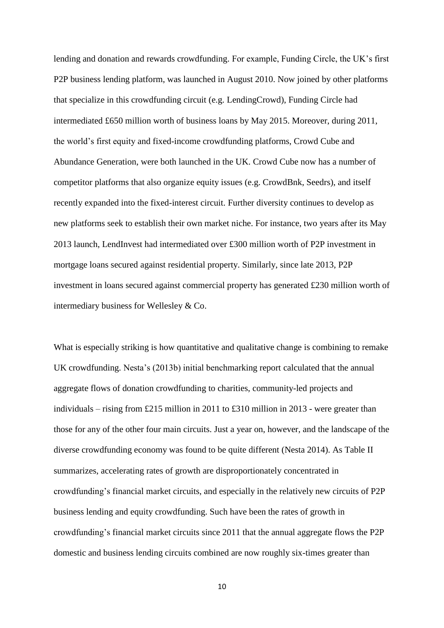lending and donation and rewards crowdfunding. For example, Funding Circle, the UK's first P2P business lending platform, was launched in August 2010. Now joined by other platforms that specialize in this crowdfunding circuit (e.g. LendingCrowd), Funding Circle had intermediated £650 million worth of business loans by May 2015. Moreover, during 2011, the world's first equity and fixed-income crowdfunding platforms, Crowd Cube and Abundance Generation, were both launched in the UK. Crowd Cube now has a number of competitor platforms that also organize equity issues (e.g. CrowdBnk, Seedrs), and itself recently expanded into the fixed-interest circuit. Further diversity continues to develop as new platforms seek to establish their own market niche. For instance, two years after its May 2013 launch, LendInvest had intermediated over £300 million worth of P2P investment in mortgage loans secured against residential property. Similarly, since late 2013, P2P investment in loans secured against commercial property has generated £230 million worth of intermediary business for Wellesley & Co.

What is especially striking is how quantitative and qualitative change is combining to remake UK crowdfunding. Nesta's (2013b) initial benchmarking report calculated that the annual aggregate flows of donation crowdfunding to charities, community-led projects and individuals – rising from £215 million in 2011 to £310 million in 2013 - were greater than those for any of the other four main circuits. Just a year on, however, and the landscape of the diverse crowdfunding economy was found to be quite different (Nesta 2014). As Table II summarizes, accelerating rates of growth are disproportionately concentrated in crowdfunding's financial market circuits, and especially in the relatively new circuits of P2P business lending and equity crowdfunding. Such have been the rates of growth in crowdfunding's financial market circuits since 2011 that the annual aggregate flows the P2P domestic and business lending circuits combined are now roughly six-times greater than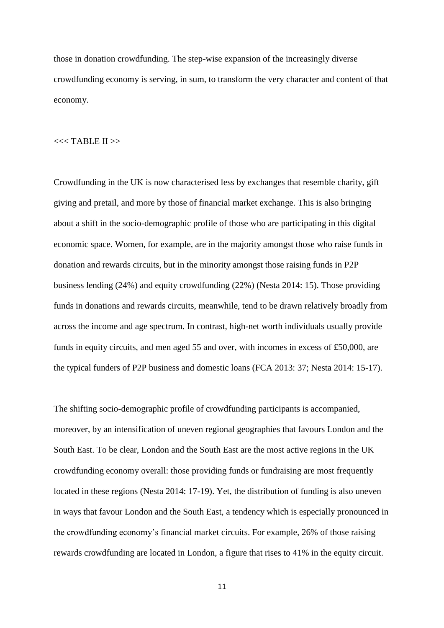those in donation crowdfunding. The step-wise expansion of the increasingly diverse crowdfunding economy is serving, in sum, to transform the very character and content of that economy.

## $<<$ TABLE II $>$

Crowdfunding in the UK is now characterised less by exchanges that resemble charity, gift giving and pretail, and more by those of financial market exchange. This is also bringing about a shift in the socio-demographic profile of those who are participating in this digital economic space. Women, for example, are in the majority amongst those who raise funds in donation and rewards circuits, but in the minority amongst those raising funds in P2P business lending (24%) and equity crowdfunding (22%) (Nesta 2014: 15). Those providing funds in donations and rewards circuits, meanwhile, tend to be drawn relatively broadly from across the income and age spectrum. In contrast, high-net worth individuals usually provide funds in equity circuits, and men aged 55 and over, with incomes in excess of £50,000, are the typical funders of P2P business and domestic loans (FCA 2013: 37; Nesta 2014: 15-17).

The shifting socio-demographic profile of crowdfunding participants is accompanied, moreover, by an intensification of uneven regional geographies that favours London and the South East. To be clear, London and the South East are the most active regions in the UK crowdfunding economy overall: those providing funds or fundraising are most frequently located in these regions (Nesta 2014: 17-19). Yet, the distribution of funding is also uneven in ways that favour London and the South East, a tendency which is especially pronounced in the crowdfunding economy's financial market circuits. For example, 26% of those raising rewards crowdfunding are located in London, a figure that rises to 41% in the equity circuit.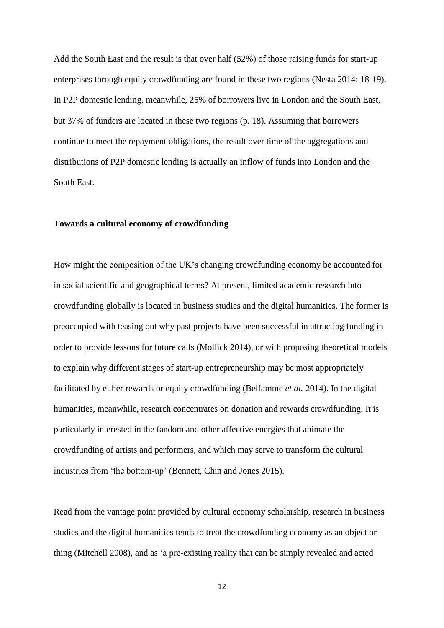Add the South East and the result is that over half (52%) of those raising funds for start-up enterprises through equity crowdfunding are found in these two regions (Nesta 2014: 18-19). In P2P domestic lending, meanwhile, 25% of borrowers live in London and the South East, but 37% of funders are located in these two regions (p. 18). Assuming that borrowers continue to meet the repayment obligations, the result over time of the aggregations and distributions of P2P domestic lending is actually an inflow of funds into London and the South East.

## **Towards a cultural economy of crowdfunding**

How might the composition of the UK's changing crowdfunding economy be accounted for in social scientific and geographical terms? At present, limited academic research into crowdfunding globally is located in business studies and the digital humanities. The former is preoccupied with teasing out why past projects have been successful in attracting funding in order to provide lessons for future calls (Mollick 2014), or with proposing theoretical models to explain why different stages of start-up entrepreneurship may be most appropriately facilitated by either rewards or equity crowdfunding (Belfamme *et al.* 2014). In the digital humanities, meanwhile, research concentrates on donation and rewards crowdfunding. It is particularly interested in the fandom and other affective energies that animate the crowdfunding of artists and performers, and which may serve to transform the cultural industries from 'the bottom-up' (Bennett, Chin and Jones 2015).

Read from the vantage point provided by cultural economy scholarship, research in business studies and the digital humanities tends to treat the crowdfunding economy as an object or thing (Mitchell 2008), and as 'a pre-existing reality that can be simply revealed and acted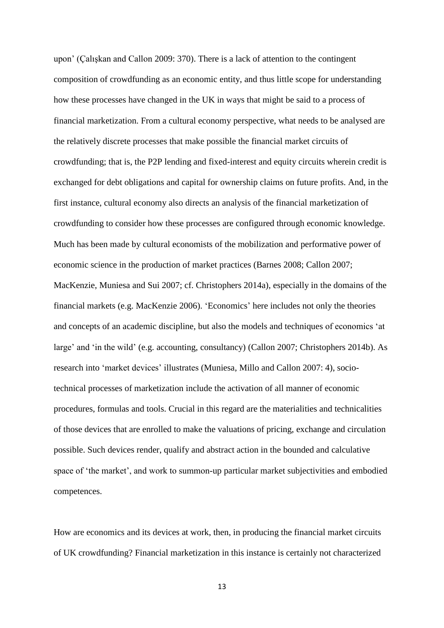upon' (Çalışkan and Callon 2009: 370). There is a lack of attention to the contingent composition of crowdfunding as an economic entity, and thus little scope for understanding how these processes have changed in the UK in ways that might be said to a process of financial marketization. From a cultural economy perspective, what needs to be analysed are the relatively discrete processes that make possible the financial market circuits of crowdfunding; that is, the P2P lending and fixed-interest and equity circuits wherein credit is exchanged for debt obligations and capital for ownership claims on future profits. And, in the first instance, cultural economy also directs an analysis of the financial marketization of crowdfunding to consider how these processes are configured through economic knowledge. Much has been made by cultural economists of the mobilization and performative power of economic science in the production of market practices (Barnes 2008; Callon 2007; MacKenzie, Muniesa and Sui 2007; cf. Christophers 2014a), especially in the domains of the financial markets (e.g. MacKenzie 2006). 'Economics' here includes not only the theories and concepts of an academic discipline, but also the models and techniques of economics 'at large' and 'in the wild' (e.g. accounting, consultancy) (Callon 2007; Christophers 2014b). As research into 'market devices' illustrates (Muniesa, Millo and Callon 2007: 4), sociotechnical processes of marketization include the activation of all manner of economic procedures, formulas and tools. Crucial in this regard are the materialities and technicalities of those devices that are enrolled to make the valuations of pricing, exchange and circulation possible. Such devices render, qualify and abstract action in the bounded and calculative space of 'the market', and work to summon-up particular market subjectivities and embodied competences.

How are economics and its devices at work, then, in producing the financial market circuits of UK crowdfunding? Financial marketization in this instance is certainly not characterized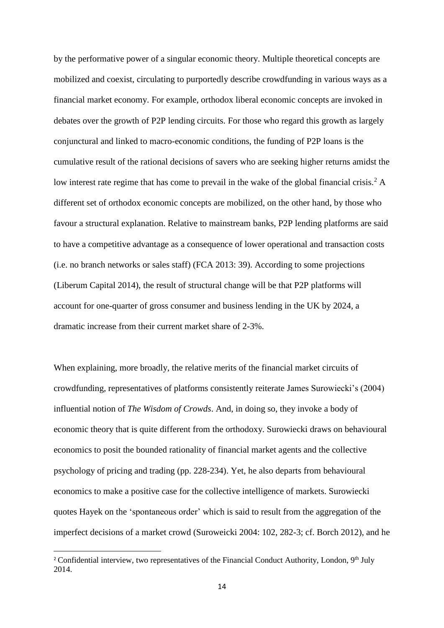by the performative power of a singular economic theory. Multiple theoretical concepts are mobilized and coexist, circulating to purportedly describe crowdfunding in various ways as a financial market economy. For example, orthodox liberal economic concepts are invoked in debates over the growth of P2P lending circuits. For those who regard this growth as largely conjunctural and linked to macro-economic conditions, the funding of P2P loans is the cumulative result of the rational decisions of savers who are seeking higher returns amidst the low interest rate regime that has come to prevail in the wake of the global financial crisis.<sup>2</sup> A different set of orthodox economic concepts are mobilized, on the other hand, by those who favour a structural explanation. Relative to mainstream banks, P2P lending platforms are said to have a competitive advantage as a consequence of lower operational and transaction costs (i.e. no branch networks or sales staff) (FCA 2013: 39). According to some projections (Liberum Capital 2014), the result of structural change will be that P2P platforms will account for one-quarter of gross consumer and business lending in the UK by 2024, a dramatic increase from their current market share of 2-3%.

When explaining, more broadly, the relative merits of the financial market circuits of crowdfunding, representatives of platforms consistently reiterate James Surowiecki's (2004) influential notion of *The Wisdom of Crowds*. And, in doing so, they invoke a body of economic theory that is quite different from the orthodoxy. Surowiecki draws on behavioural economics to posit the bounded rationality of financial market agents and the collective psychology of pricing and trading (pp. 228-234). Yet, he also departs from behavioural economics to make a positive case for the collective intelligence of markets. Surowiecki quotes Hayek on the 'spontaneous order' which is said to result from the aggregation of the imperfect decisions of a market crowd (Suroweicki 2004: 102, 282-3; cf. Borch 2012), and he

<sup>&</sup>lt;sup>2</sup> Confidential interview, two representatives of the Financial Conduct Authority, London,  $9<sup>th</sup>$  July 2014.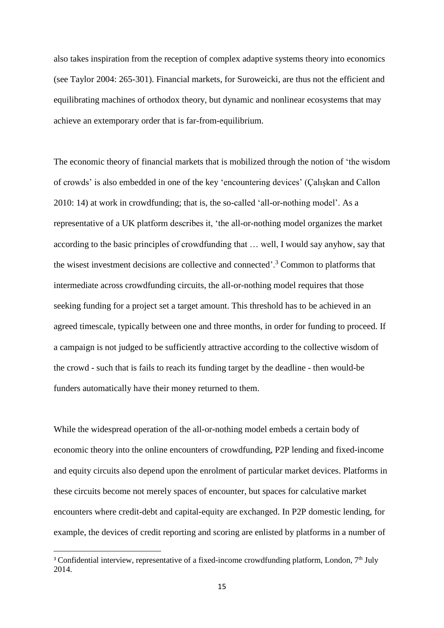also takes inspiration from the reception of complex adaptive systems theory into economics (see Taylor 2004: 265-301). Financial markets, for Suroweicki, are thus not the efficient and equilibrating machines of orthodox theory, but dynamic and nonlinear ecosystems that may achieve an extemporary order that is far-from-equilibrium.

The economic theory of financial markets that is mobilized through the notion of 'the wisdom of crowds' is also embedded in one of the key 'encountering devices' (Çalışkan and Callon 2010: 14) at work in crowdfunding; that is, the so-called 'all-or-nothing model'. As a representative of a UK platform describes it, 'the all-or-nothing model organizes the market according to the basic principles of crowdfunding that … well, I would say anyhow, say that the wisest investment decisions are collective and connected'.<sup>3</sup> Common to platforms that intermediate across crowdfunding circuits, the all-or-nothing model requires that those seeking funding for a project set a target amount. This threshold has to be achieved in an agreed timescale, typically between one and three months, in order for funding to proceed. If a campaign is not judged to be sufficiently attractive according to the collective wisdom of the crowd - such that is fails to reach its funding target by the deadline - then would-be funders automatically have their money returned to them.

While the widespread operation of the all-or-nothing model embeds a certain body of economic theory into the online encounters of crowdfunding, P2P lending and fixed-income and equity circuits also depend upon the enrolment of particular market devices. Platforms in these circuits become not merely spaces of encounter, but spaces for calculative market encounters where credit-debt and capital-equity are exchanged. In P2P domestic lending, for example, the devices of credit reporting and scoring are enlisted by platforms in a number of

<sup>&</sup>lt;sup>3</sup> Confidential interview, representative of a fixed-income crowdfunding platform, London,  $7<sup>th</sup>$  July 2014.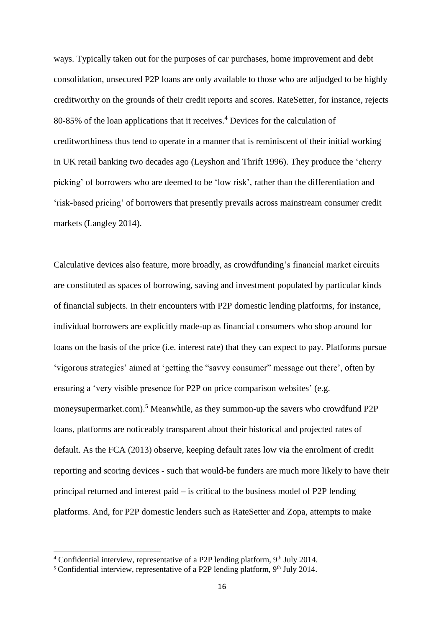ways. Typically taken out for the purposes of car purchases, home improvement and debt consolidation, unsecured P2P loans are only available to those who are adjudged to be highly creditworthy on the grounds of their credit reports and scores. RateSetter, for instance, rejects 80-85% of the loan applications that it receives.<sup>4</sup> Devices for the calculation of creditworthiness thus tend to operate in a manner that is reminiscent of their initial working in UK retail banking two decades ago (Leyshon and Thrift 1996). They produce the 'cherry picking' of borrowers who are deemed to be 'low risk', rather than the differentiation and 'risk-based pricing' of borrowers that presently prevails across mainstream consumer credit markets (Langley 2014).

Calculative devices also feature, more broadly, as crowdfunding's financial market circuits are constituted as spaces of borrowing, saving and investment populated by particular kinds of financial subjects. In their encounters with P2P domestic lending platforms, for instance, individual borrowers are explicitly made-up as financial consumers who shop around for loans on the basis of the price (i.e. interest rate) that they can expect to pay. Platforms pursue 'vigorous strategies' aimed at 'getting the "savvy consumer" message out there', often by ensuring a 'very visible presence for P2P on price comparison websites' (e.g. moneysupermarket.com).<sup>5</sup> Meanwhile, as they summon-up the savers who crowdfund P2P loans, platforms are noticeably transparent about their historical and projected rates of default. As the FCA (2013) observe, keeping default rates low via the enrolment of credit reporting and scoring devices - such that would-be funders are much more likely to have their principal returned and interest paid – is critical to the business model of P2P lending platforms. And, for P2P domestic lenders such as RateSetter and Zopa, attempts to make

 $4$  Confidential interview, representative of a P2P lending platform, 9<sup>th</sup> July 2014.

 $5$  Confidential interview, representative of a P2P lending platform, 9<sup>th</sup> July 2014.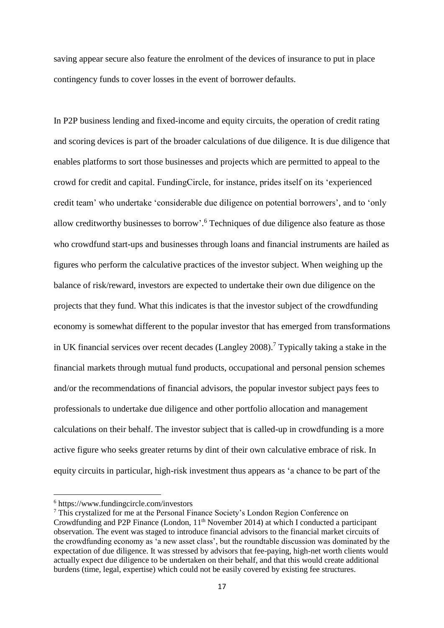saving appear secure also feature the enrolment of the devices of insurance to put in place contingency funds to cover losses in the event of borrower defaults.

In P2P business lending and fixed-income and equity circuits, the operation of credit rating and scoring devices is part of the broader calculations of due diligence. It is due diligence that enables platforms to sort those businesses and projects which are permitted to appeal to the crowd for credit and capital. FundingCircle, for instance, prides itself on its 'experienced credit team' who undertake 'considerable due diligence on potential borrowers', and to 'only allow creditworthy businesses to borrow'. <sup>6</sup> Techniques of due diligence also feature as those who crowdfund start-ups and businesses through loans and financial instruments are hailed as figures who perform the calculative practices of the investor subject. When weighing up the balance of risk/reward, investors are expected to undertake their own due diligence on the projects that they fund. What this indicates is that the investor subject of the crowdfunding economy is somewhat different to the popular investor that has emerged from transformations in UK financial services over recent decades (Langley 2008).<sup>7</sup> Typically taking a stake in the financial markets through mutual fund products, occupational and personal pension schemes and/or the recommendations of financial advisors, the popular investor subject pays fees to professionals to undertake due diligence and other portfolio allocation and management calculations on their behalf. The investor subject that is called-up in crowdfunding is a more active figure who seeks greater returns by dint of their own calculative embrace of risk. In equity circuits in particular, high-risk investment thus appears as 'a chance to be part of the

 $\overline{\phantom{a}}$ 

 $6$  https://www.fundingcircle.com/investors

<sup>&</sup>lt;sup>7</sup> This crystalized for me at the Personal Finance Society's London Region Conference on Crowdfunding and P2P Finance (London, 11<sup>th</sup> November 2014) at which I conducted a participant observation. The event was staged to introduce financial advisors to the financial market circuits of the crowdfunding economy as 'a new asset class', but the roundtable discussion was dominated by the expectation of due diligence. It was stressed by advisors that fee-paying, high-net worth clients would actually expect due diligence to be undertaken on their behalf, and that this would create additional burdens (time, legal, expertise) which could not be easily covered by existing fee structures.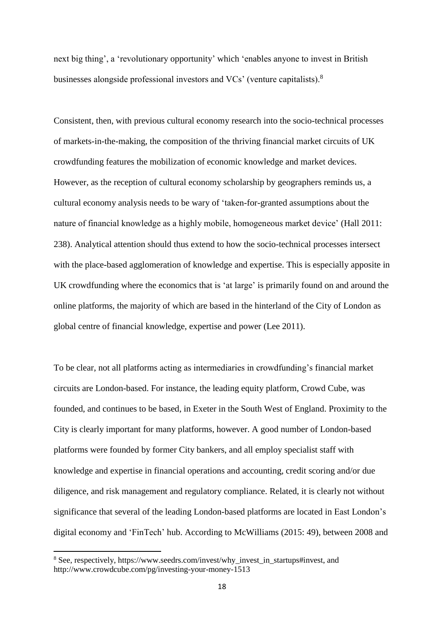next big thing', a 'revolutionary opportunity' which 'enables anyone to invest in British businesses alongside professional investors and VCs' (venture capitalists).<sup>8</sup>

Consistent, then, with previous cultural economy research into the socio-technical processes of markets-in-the-making, the composition of the thriving financial market circuits of UK crowdfunding features the mobilization of economic knowledge and market devices. However, as the reception of cultural economy scholarship by geographers reminds us, a cultural economy analysis needs to be wary of 'taken-for-granted assumptions about the nature of financial knowledge as a highly mobile, homogeneous market device' (Hall 2011: 238). Analytical attention should thus extend to how the socio-technical processes intersect with the place-based agglomeration of knowledge and expertise. This is especially apposite in UK crowdfunding where the economics that is 'at large' is primarily found on and around the online platforms, the majority of which are based in the hinterland of the City of London as global centre of financial knowledge, expertise and power (Lee 2011).

To be clear, not all platforms acting as intermediaries in crowdfunding's financial market circuits are London-based. For instance, the leading equity platform, Crowd Cube, was founded, and continues to be based, in Exeter in the South West of England. Proximity to the City is clearly important for many platforms, however. A good number of London-based platforms were founded by former City bankers, and all employ specialist staff with knowledge and expertise in financial operations and accounting, credit scoring and/or due diligence, and risk management and regulatory compliance. Related, it is clearly not without significance that several of the leading London-based platforms are located in East London's digital economy and 'FinTech' hub. According to McWilliams (2015: 49), between 2008 and

**.** 

<sup>&</sup>lt;sup>8</sup> See, respectively, https://www.seedrs.com/invest/why\_invest\_in\_startups#invest, and http://www.crowdcube.com/pg/investing-your-money-1513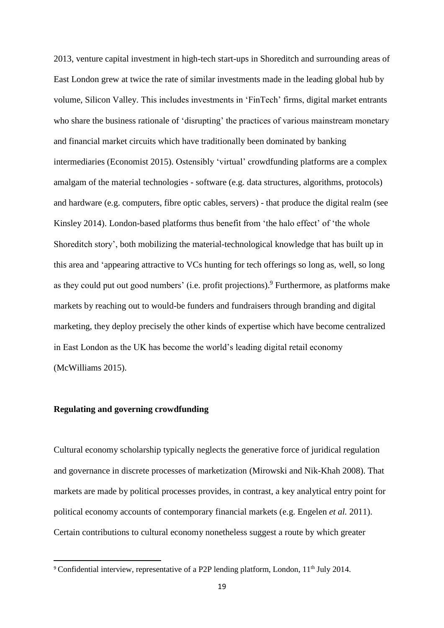2013, venture capital investment in high-tech start-ups in Shoreditch and surrounding areas of East London grew at twice the rate of similar investments made in the leading global hub by volume, Silicon Valley. This includes investments in 'FinTech' firms, digital market entrants who share the business rationale of 'disrupting' the practices of various mainstream monetary and financial market circuits which have traditionally been dominated by banking intermediaries (Economist 2015). Ostensibly 'virtual' crowdfunding platforms are a complex amalgam of the material technologies - software (e.g. data structures, algorithms, protocols) and hardware (e.g. computers, fibre optic cables, servers) - that produce the digital realm (see Kinsley 2014). London-based platforms thus benefit from 'the halo effect' of 'the whole Shoreditch story', both mobilizing the material-technological knowledge that has built up in this area and 'appearing attractive to VCs hunting for tech offerings so long as, well, so long as they could put out good numbers' (i.e. profit projections).<sup>9</sup> Furthermore, as platforms make markets by reaching out to would-be funders and fundraisers through branding and digital marketing, they deploy precisely the other kinds of expertise which have become centralized in East London as the UK has become the world's leading digital retail economy (McWilliams 2015).

# **Regulating and governing crowdfunding**

**.** 

Cultural economy scholarship typically neglects the generative force of juridical regulation and governance in discrete processes of marketization (Mirowski and Nik-Khah 2008). That markets are made by political processes provides, in contrast, a key analytical entry point for political economy accounts of contemporary financial markets (e.g. Engelen *et al.* 2011). Certain contributions to cultural economy nonetheless suggest a route by which greater

<sup>&</sup>lt;sup>9</sup> Confidential interview, representative of a P2P lending platform, London,  $11<sup>th</sup>$  July 2014.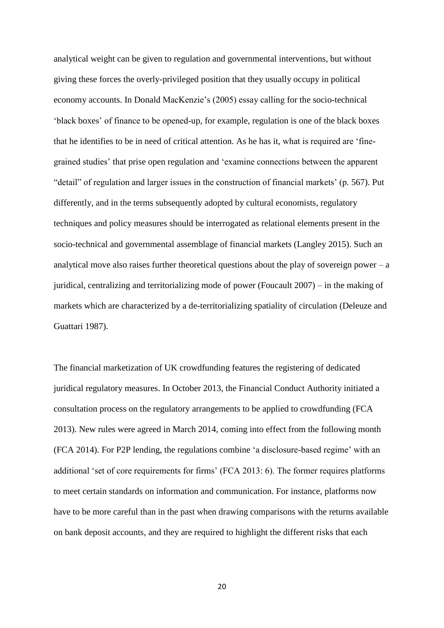analytical weight can be given to regulation and governmental interventions, but without giving these forces the overly-privileged position that they usually occupy in political economy accounts. In Donald MacKenzie's (2005) essay calling for the socio-technical 'black boxes' of finance to be opened-up, for example, regulation is one of the black boxes that he identifies to be in need of critical attention. As he has it, what is required are 'finegrained studies' that prise open regulation and 'examine connections between the apparent "detail" of regulation and larger issues in the construction of financial markets' (p. 567). Put differently, and in the terms subsequently adopted by cultural economists, regulatory techniques and policy measures should be interrogated as relational elements present in the socio-technical and governmental assemblage of financial markets (Langley 2015). Such an analytical move also raises further theoretical questions about the play of sovereign power –  $a$ juridical, centralizing and territorializing mode of power (Foucault 2007) – in the making of markets which are characterized by a de-territorializing spatiality of circulation (Deleuze and Guattari 1987).

The financial marketization of UK crowdfunding features the registering of dedicated juridical regulatory measures. In October 2013, the Financial Conduct Authority initiated a consultation process on the regulatory arrangements to be applied to crowdfunding (FCA 2013). New rules were agreed in March 2014, coming into effect from the following month (FCA 2014). For P2P lending, the regulations combine 'a disclosure-based regime' with an additional 'set of core requirements for firms' (FCA 2013: 6). The former requires platforms to meet certain standards on information and communication. For instance, platforms now have to be more careful than in the past when drawing comparisons with the returns available on bank deposit accounts, and they are required to highlight the different risks that each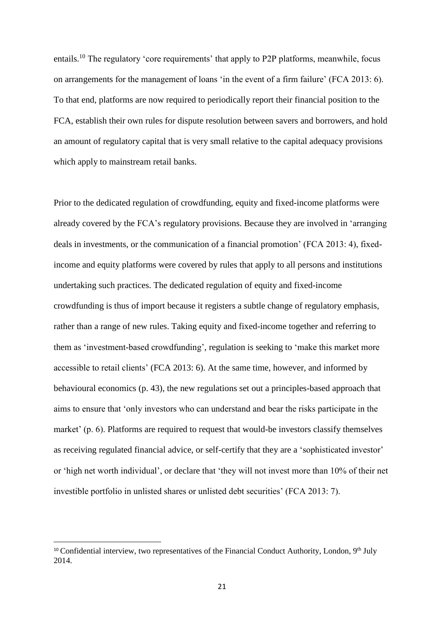entails.<sup>10</sup> The regulatory 'core requirements' that apply to P2P platforms, meanwhile, focus on arrangements for the management of loans 'in the event of a firm failure' (FCA 2013: 6). To that end, platforms are now required to periodically report their financial position to the FCA, establish their own rules for dispute resolution between savers and borrowers, and hold an amount of regulatory capital that is very small relative to the capital adequacy provisions which apply to mainstream retail banks.

Prior to the dedicated regulation of crowdfunding, equity and fixed-income platforms were already covered by the FCA's regulatory provisions. Because they are involved in 'arranging deals in investments, or the communication of a financial promotion' (FCA 2013: 4), fixedincome and equity platforms were covered by rules that apply to all persons and institutions undertaking such practices. The dedicated regulation of equity and fixed-income crowdfunding is thus of import because it registers a subtle change of regulatory emphasis, rather than a range of new rules. Taking equity and fixed-income together and referring to them as 'investment-based crowdfunding', regulation is seeking to 'make this market more accessible to retail clients' (FCA 2013: 6). At the same time, however, and informed by behavioural economics (p. 43), the new regulations set out a principles-based approach that aims to ensure that 'only investors who can understand and bear the risks participate in the market' (p. 6). Platforms are required to request that would-be investors classify themselves as receiving regulated financial advice, or self-certify that they are a 'sophisticated investor' or 'high net worth individual', or declare that 'they will not invest more than 10% of their net investible portfolio in unlisted shares or unlisted debt securities' (FCA 2013: 7).

 $\overline{\phantom{a}}$ 

<sup>&</sup>lt;sup>10</sup> Confidential interview, two representatives of the Financial Conduct Authority, London, 9<sup>th</sup> July 2014.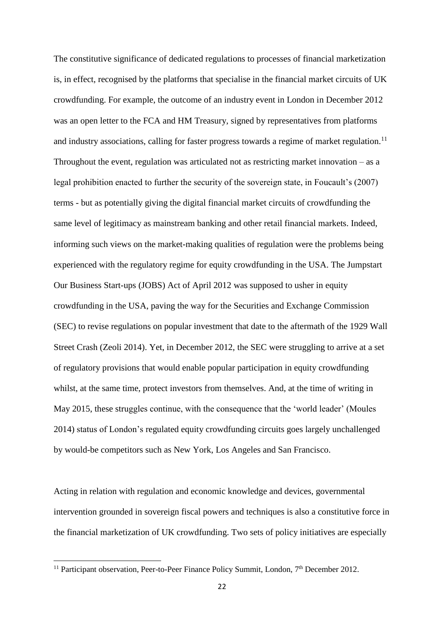The constitutive significance of dedicated regulations to processes of financial marketization is, in effect, recognised by the platforms that specialise in the financial market circuits of UK crowdfunding. For example, the outcome of an industry event in London in December 2012 was an open letter to the FCA and HM Treasury, signed by representatives from platforms and industry associations, calling for faster progress towards a regime of market regulation.<sup>11</sup> Throughout the event, regulation was articulated not as restricting market innovation – as a legal prohibition enacted to further the security of the sovereign state, in Foucault's (2007) terms - but as potentially giving the digital financial market circuits of crowdfunding the same level of legitimacy as mainstream banking and other retail financial markets. Indeed, informing such views on the market-making qualities of regulation were the problems being experienced with the regulatory regime for equity crowdfunding in the USA. The Jumpstart Our Business Start-ups (JOBS) Act of April 2012 was supposed to usher in equity crowdfunding in the USA, paving the way for the Securities and Exchange Commission (SEC) to revise regulations on popular investment that date to the aftermath of the 1929 Wall Street Crash (Zeoli 2014). Yet, in December 2012, the SEC were struggling to arrive at a set of regulatory provisions that would enable popular participation in equity crowdfunding whilst, at the same time, protect investors from themselves. And, at the time of writing in May 2015, these struggles continue, with the consequence that the 'world leader' (Moules 2014) status of London's regulated equity crowdfunding circuits goes largely unchallenged by would-be competitors such as New York, Los Angeles and San Francisco.

Acting in relation with regulation and economic knowledge and devices, governmental intervention grounded in sovereign fiscal powers and techniques is also a constitutive force in the financial marketization of UK crowdfunding. Two sets of policy initiatives are especially

**.** 

<sup>&</sup>lt;sup>11</sup> Participant observation, Peer-to-Peer Finance Policy Summit, London,  $7<sup>th</sup>$  December 2012.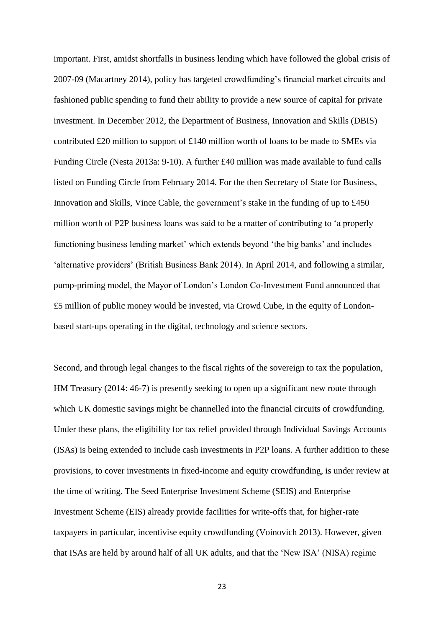important. First, amidst shortfalls in business lending which have followed the global crisis of 2007-09 (Macartney 2014), policy has targeted crowdfunding's financial market circuits and fashioned public spending to fund their ability to provide a new source of capital for private investment. In December 2012, the Department of Business, Innovation and Skills (DBIS) contributed £20 million to support of £140 million worth of loans to be made to SMEs via Funding Circle (Nesta 2013a: 9-10). A further £40 million was made available to fund calls listed on Funding Circle from February 2014. For the then Secretary of State for Business, Innovation and Skills, Vince Cable, the government's stake in the funding of up to £450 million worth of P2P business loans was said to be a matter of contributing to 'a properly functioning business lending market' which extends beyond 'the big banks' and includes 'alternative providers' (British Business Bank 2014). In April 2014, and following a similar, pump-priming model, the Mayor of London's London Co-Investment Fund announced that £5 million of public money would be invested, via Crowd Cube, in the equity of Londonbased start-ups operating in the digital, technology and science sectors.

Second, and through legal changes to the fiscal rights of the sovereign to tax the population, HM Treasury (2014: 46-7) is presently seeking to open up a significant new route through which UK domestic savings might be channelled into the financial circuits of crowdfunding. Under these plans, the eligibility for tax relief provided through Individual Savings Accounts (ISAs) is being extended to include cash investments in P2P loans. A further addition to these provisions, to cover investments in fixed-income and equity crowdfunding, is under review at the time of writing. The Seed Enterprise Investment Scheme (SEIS) and Enterprise Investment Scheme (EIS) already provide facilities for write-offs that, for higher-rate taxpayers in particular, incentivise equity crowdfunding (Voinovich 2013). However, given that ISAs are held by around half of all UK adults, and that the 'New ISA' (NISA) regime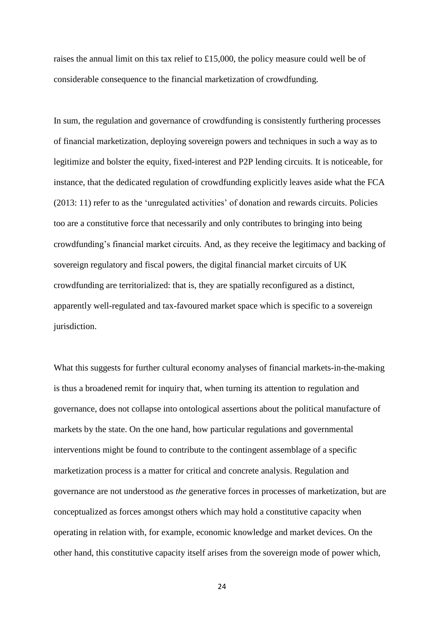raises the annual limit on this tax relief to £15,000, the policy measure could well be of considerable consequence to the financial marketization of crowdfunding.

In sum, the regulation and governance of crowdfunding is consistently furthering processes of financial marketization, deploying sovereign powers and techniques in such a way as to legitimize and bolster the equity, fixed-interest and P2P lending circuits. It is noticeable, for instance, that the dedicated regulation of crowdfunding explicitly leaves aside what the FCA (2013: 11) refer to as the 'unregulated activities' of donation and rewards circuits. Policies too are a constitutive force that necessarily and only contributes to bringing into being crowdfunding's financial market circuits. And, as they receive the legitimacy and backing of sovereign regulatory and fiscal powers, the digital financial market circuits of UK crowdfunding are territorialized: that is, they are spatially reconfigured as a distinct, apparently well-regulated and tax-favoured market space which is specific to a sovereign jurisdiction.

What this suggests for further cultural economy analyses of financial markets-in-the-making is thus a broadened remit for inquiry that, when turning its attention to regulation and governance, does not collapse into ontological assertions about the political manufacture of markets by the state. On the one hand, how particular regulations and governmental interventions might be found to contribute to the contingent assemblage of a specific marketization process is a matter for critical and concrete analysis. Regulation and governance are not understood as *the* generative forces in processes of marketization, but are conceptualized as forces amongst others which may hold a constitutive capacity when operating in relation with, for example, economic knowledge and market devices. On the other hand, this constitutive capacity itself arises from the sovereign mode of power which,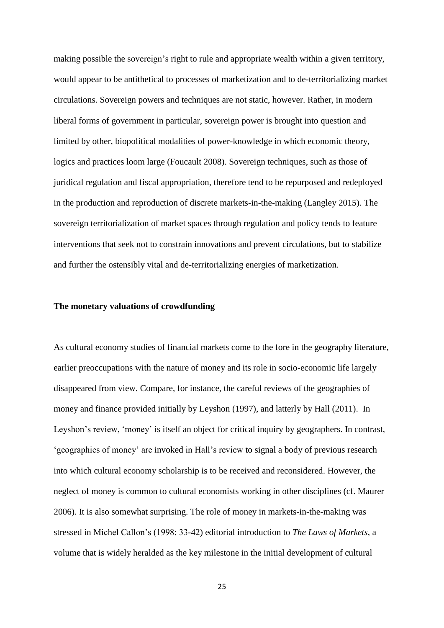making possible the sovereign's right to rule and appropriate wealth within a given territory, would appear to be antithetical to processes of marketization and to de-territorializing market circulations. Sovereign powers and techniques are not static, however. Rather, in modern liberal forms of government in particular, sovereign power is brought into question and limited by other, biopolitical modalities of power-knowledge in which economic theory, logics and practices loom large (Foucault 2008). Sovereign techniques, such as those of juridical regulation and fiscal appropriation, therefore tend to be repurposed and redeployed in the production and reproduction of discrete markets-in-the-making (Langley 2015). The sovereign territorialization of market spaces through regulation and policy tends to feature interventions that seek not to constrain innovations and prevent circulations, but to stabilize and further the ostensibly vital and de-territorializing energies of marketization.

# **The monetary valuations of crowdfunding**

As cultural economy studies of financial markets come to the fore in the geography literature, earlier preoccupations with the nature of money and its role in socio-economic life largely disappeared from view. Compare, for instance, the careful reviews of the geographies of money and finance provided initially by Leyshon (1997), and latterly by Hall (2011). In Leyshon's review, 'money' is itself an object for critical inquiry by geographers. In contrast, 'geographies of money' are invoked in Hall's review to signal a body of previous research into which cultural economy scholarship is to be received and reconsidered. However, the neglect of money is common to cultural economists working in other disciplines (cf. Maurer 2006). It is also somewhat surprising. The role of money in markets-in-the-making was stressed in Michel Callon's (1998: 33-42) editorial introduction to *The Laws of Markets*, a volume that is widely heralded as the key milestone in the initial development of cultural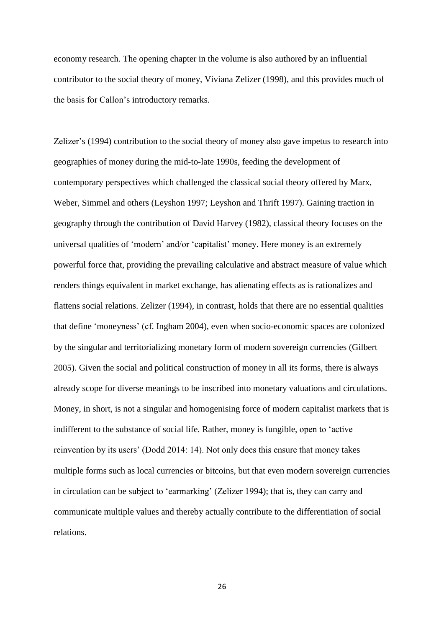economy research. The opening chapter in the volume is also authored by an influential contributor to the social theory of money, Viviana Zelizer (1998), and this provides much of the basis for Callon's introductory remarks.

Zelizer's (1994) contribution to the social theory of money also gave impetus to research into geographies of money during the mid-to-late 1990s, feeding the development of contemporary perspectives which challenged the classical social theory offered by Marx, Weber, Simmel and others (Leyshon 1997; Leyshon and Thrift 1997). Gaining traction in geography through the contribution of David Harvey (1982), classical theory focuses on the universal qualities of 'modern' and/or 'capitalist' money. Here money is an extremely powerful force that, providing the prevailing calculative and abstract measure of value which renders things equivalent in market exchange, has alienating effects as is rationalizes and flattens social relations. Zelizer (1994), in contrast, holds that there are no essential qualities that define 'moneyness' (cf. Ingham 2004), even when socio-economic spaces are colonized by the singular and territorializing monetary form of modern sovereign currencies (Gilbert 2005). Given the social and political construction of money in all its forms, there is always already scope for diverse meanings to be inscribed into monetary valuations and circulations. Money, in short, is not a singular and homogenising force of modern capitalist markets that is indifferent to the substance of social life. Rather, money is fungible, open to 'active reinvention by its users' (Dodd 2014: 14). Not only does this ensure that money takes multiple forms such as local currencies or bitcoins, but that even modern sovereign currencies in circulation can be subject to 'earmarking' (Zelizer 1994); that is, they can carry and communicate multiple values and thereby actually contribute to the differentiation of social relations.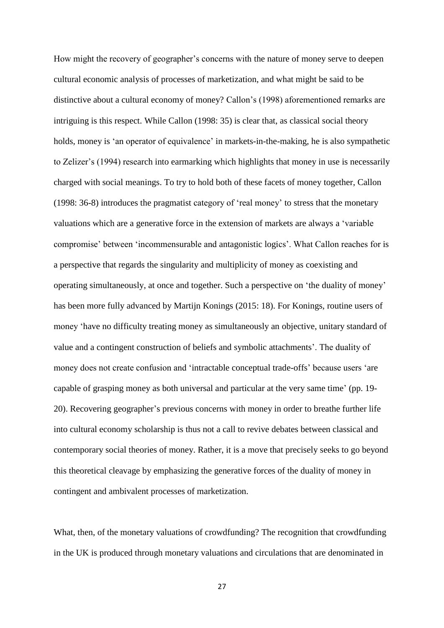How might the recovery of geographer's concerns with the nature of money serve to deepen cultural economic analysis of processes of marketization, and what might be said to be distinctive about a cultural economy of money? Callon's (1998) aforementioned remarks are intriguing is this respect. While Callon (1998: 35) is clear that, as classical social theory holds, money is 'an operator of equivalence' in markets-in-the-making, he is also sympathetic to Zelizer's (1994) research into earmarking which highlights that money in use is necessarily charged with social meanings. To try to hold both of these facets of money together, Callon (1998: 36-8) introduces the pragmatist category of 'real money' to stress that the monetary valuations which are a generative force in the extension of markets are always a 'variable compromise' between 'incommensurable and antagonistic logics'. What Callon reaches for is a perspective that regards the singularity and multiplicity of money as coexisting and operating simultaneously, at once and together. Such a perspective on 'the duality of money' has been more fully advanced by Martijn Konings (2015: 18). For Konings, routine users of money 'have no difficulty treating money as simultaneously an objective, unitary standard of value and a contingent construction of beliefs and symbolic attachments'. The duality of money does not create confusion and 'intractable conceptual trade-offs' because users 'are capable of grasping money as both universal and particular at the very same time' (pp. 19- 20). Recovering geographer's previous concerns with money in order to breathe further life into cultural economy scholarship is thus not a call to revive debates between classical and contemporary social theories of money. Rather, it is a move that precisely seeks to go beyond this theoretical cleavage by emphasizing the generative forces of the duality of money in contingent and ambivalent processes of marketization.

What, then, of the monetary valuations of crowdfunding? The recognition that crowdfunding in the UK is produced through monetary valuations and circulations that are denominated in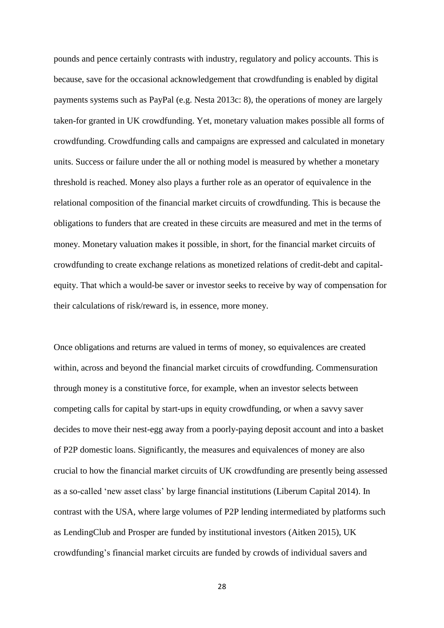pounds and pence certainly contrasts with industry, regulatory and policy accounts. This is because, save for the occasional acknowledgement that crowdfunding is enabled by digital payments systems such as PayPal (e.g. Nesta 2013c: 8), the operations of money are largely taken-for granted in UK crowdfunding. Yet, monetary valuation makes possible all forms of crowdfunding. Crowdfunding calls and campaigns are expressed and calculated in monetary units. Success or failure under the all or nothing model is measured by whether a monetary threshold is reached. Money also plays a further role as an operator of equivalence in the relational composition of the financial market circuits of crowdfunding. This is because the obligations to funders that are created in these circuits are measured and met in the terms of money. Monetary valuation makes it possible, in short, for the financial market circuits of crowdfunding to create exchange relations as monetized relations of credit-debt and capitalequity. That which a would-be saver or investor seeks to receive by way of compensation for their calculations of risk/reward is, in essence, more money.

Once obligations and returns are valued in terms of money, so equivalences are created within, across and beyond the financial market circuits of crowdfunding. Commensuration through money is a constitutive force, for example, when an investor selects between competing calls for capital by start-ups in equity crowdfunding, or when a savvy saver decides to move their nest-egg away from a poorly-paying deposit account and into a basket of P2P domestic loans. Significantly, the measures and equivalences of money are also crucial to how the financial market circuits of UK crowdfunding are presently being assessed as a so-called 'new asset class' by large financial institutions (Liberum Capital 2014). In contrast with the USA, where large volumes of P2P lending intermediated by platforms such as LendingClub and Prosper are funded by institutional investors (Aitken 2015), UK crowdfunding's financial market circuits are funded by crowds of individual savers and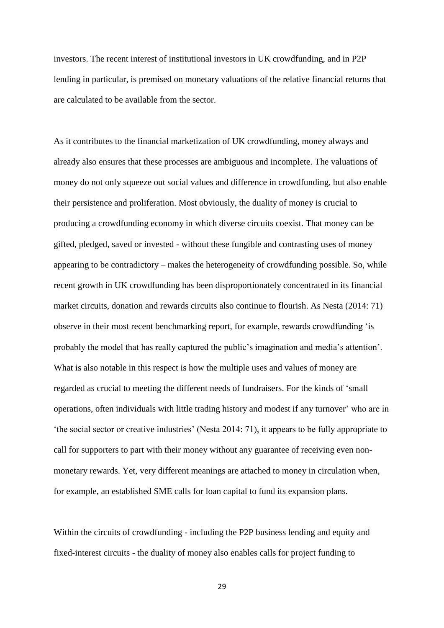investors. The recent interest of institutional investors in UK crowdfunding, and in P2P lending in particular, is premised on monetary valuations of the relative financial returns that are calculated to be available from the sector.

As it contributes to the financial marketization of UK crowdfunding, money always and already also ensures that these processes are ambiguous and incomplete. The valuations of money do not only squeeze out social values and difference in crowdfunding, but also enable their persistence and proliferation. Most obviously, the duality of money is crucial to producing a crowdfunding economy in which diverse circuits coexist. That money can be gifted, pledged, saved or invested - without these fungible and contrasting uses of money appearing to be contradictory – makes the heterogeneity of crowdfunding possible. So, while recent growth in UK crowdfunding has been disproportionately concentrated in its financial market circuits, donation and rewards circuits also continue to flourish. As Nesta (2014: 71) observe in their most recent benchmarking report, for example, rewards crowdfunding 'is probably the model that has really captured the public's imagination and media's attention'. What is also notable in this respect is how the multiple uses and values of money are regarded as crucial to meeting the different needs of fundraisers. For the kinds of 'small operations, often individuals with little trading history and modest if any turnover' who are in 'the social sector or creative industries' (Nesta 2014: 71), it appears to be fully appropriate to call for supporters to part with their money without any guarantee of receiving even nonmonetary rewards. Yet, very different meanings are attached to money in circulation when, for example, an established SME calls for loan capital to fund its expansion plans.

Within the circuits of crowdfunding - including the P2P business lending and equity and fixed-interest circuits - the duality of money also enables calls for project funding to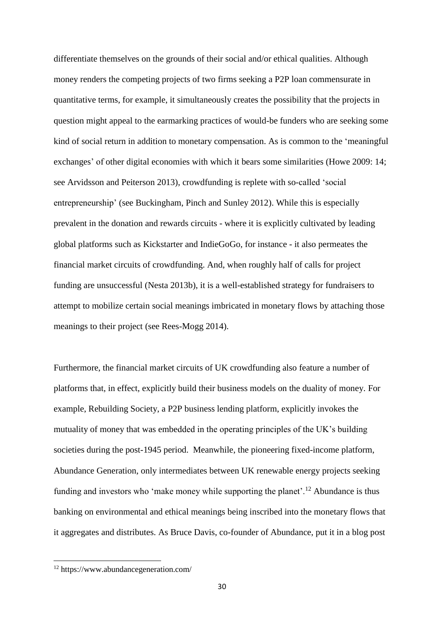differentiate themselves on the grounds of their social and/or ethical qualities. Although money renders the competing projects of two firms seeking a P2P loan commensurate in quantitative terms, for example, it simultaneously creates the possibility that the projects in question might appeal to the earmarking practices of would-be funders who are seeking some kind of social return in addition to monetary compensation. As is common to the 'meaningful exchanges' of other digital economies with which it bears some similarities (Howe 2009: 14; see Arvidsson and Peiterson 2013), crowdfunding is replete with so-called 'social entrepreneurship' (see Buckingham, Pinch and Sunley 2012). While this is especially prevalent in the donation and rewards circuits - where it is explicitly cultivated by leading global platforms such as Kickstarter and IndieGoGo, for instance - it also permeates the financial market circuits of crowdfunding. And, when roughly half of calls for project funding are unsuccessful (Nesta 2013b), it is a well-established strategy for fundraisers to attempt to mobilize certain social meanings imbricated in monetary flows by attaching those meanings to their project (see Rees-Mogg 2014).

Furthermore, the financial market circuits of UK crowdfunding also feature a number of platforms that, in effect, explicitly build their business models on the duality of money. For example, Rebuilding Society, a P2P business lending platform, explicitly invokes the mutuality of money that was embedded in the operating principles of the UK's building societies during the post-1945 period. Meanwhile, the pioneering fixed-income platform, Abundance Generation, only intermediates between UK renewable energy projects seeking funding and investors who 'make money while supporting the planet'.<sup>12</sup> Abundance is thus banking on environmental and ethical meanings being inscribed into the monetary flows that it aggregates and distributes. As Bruce Davis, co-founder of Abundance, put it in a blog post

**.** 

<sup>12</sup> https://www.abundancegeneration.com/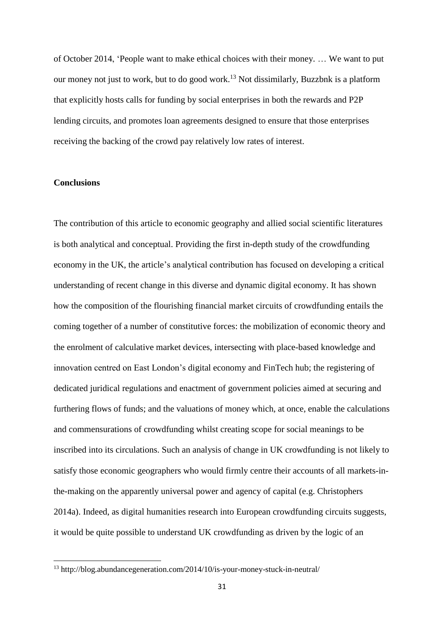of October 2014, 'People want to make ethical choices with their money. … We want to put our money not just to work, but to do good work.<sup>13</sup> Not dissimilarly, Buzzbnk is a platform that explicitly hosts calls for funding by social enterprises in both the rewards and P2P lending circuits, and promotes loan agreements designed to ensure that those enterprises receiving the backing of the crowd pay relatively low rates of interest.

## **Conclusions**

**.** 

The contribution of this article to economic geography and allied social scientific literatures is both analytical and conceptual. Providing the first in-depth study of the crowdfunding economy in the UK, the article's analytical contribution has focused on developing a critical understanding of recent change in this diverse and dynamic digital economy. It has shown how the composition of the flourishing financial market circuits of crowdfunding entails the coming together of a number of constitutive forces: the mobilization of economic theory and the enrolment of calculative market devices, intersecting with place-based knowledge and innovation centred on East London's digital economy and FinTech hub; the registering of dedicated juridical regulations and enactment of government policies aimed at securing and furthering flows of funds; and the valuations of money which, at once, enable the calculations and commensurations of crowdfunding whilst creating scope for social meanings to be inscribed into its circulations. Such an analysis of change in UK crowdfunding is not likely to satisfy those economic geographers who would firmly centre their accounts of all markets-inthe-making on the apparently universal power and agency of capital (e.g. Christophers 2014a). Indeed, as digital humanities research into European crowdfunding circuits suggests, it would be quite possible to understand UK crowdfunding as driven by the logic of an

<sup>13</sup> http://blog.abundancegeneration.com/2014/10/is-your-money-stuck-in-neutral/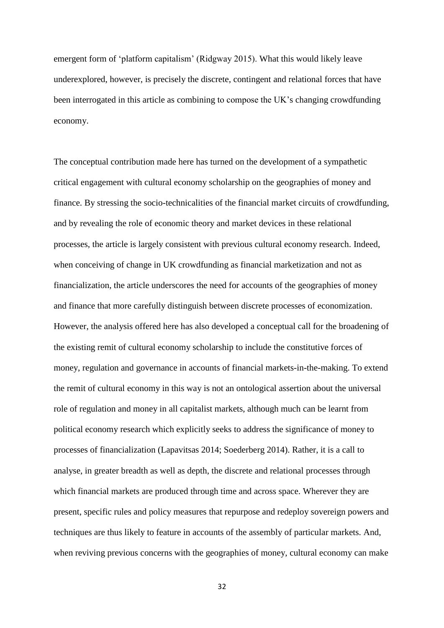emergent form of 'platform capitalism' (Ridgway 2015). What this would likely leave underexplored, however, is precisely the discrete, contingent and relational forces that have been interrogated in this article as combining to compose the UK's changing crowdfunding economy.

The conceptual contribution made here has turned on the development of a sympathetic critical engagement with cultural economy scholarship on the geographies of money and finance. By stressing the socio-technicalities of the financial market circuits of crowdfunding, and by revealing the role of economic theory and market devices in these relational processes, the article is largely consistent with previous cultural economy research. Indeed, when conceiving of change in UK crowdfunding as financial marketization and not as financialization, the article underscores the need for accounts of the geographies of money and finance that more carefully distinguish between discrete processes of economization. However, the analysis offered here has also developed a conceptual call for the broadening of the existing remit of cultural economy scholarship to include the constitutive forces of money, regulation and governance in accounts of financial markets-in-the-making. To extend the remit of cultural economy in this way is not an ontological assertion about the universal role of regulation and money in all capitalist markets, although much can be learnt from political economy research which explicitly seeks to address the significance of money to processes of financialization (Lapavitsas 2014; Soederberg 2014). Rather, it is a call to analyse, in greater breadth as well as depth, the discrete and relational processes through which financial markets are produced through time and across space. Wherever they are present, specific rules and policy measures that repurpose and redeploy sovereign powers and techniques are thus likely to feature in accounts of the assembly of particular markets. And, when reviving previous concerns with the geographies of money, cultural economy can make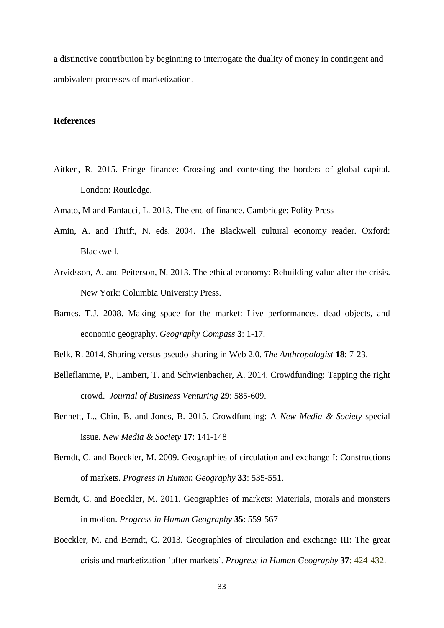a distinctive contribution by beginning to interrogate the duality of money in contingent and ambivalent processes of marketization.

# **References**

- Aitken, R. 2015. Fringe finance: Crossing and contesting the borders of global capital. London: Routledge.
- Amato, M and Fantacci, L. 2013. The end of finance. Cambridge: Polity Press
- Amin, A. and Thrift, N. eds. 2004. The Blackwell cultural economy reader. Oxford: Blackwell.
- Arvidsson, A. and Peiterson, N. 2013. The ethical economy: Rebuilding value after the crisis. New York: Columbia University Press.
- Barnes, T.J. 2008. Making space for the market: Live performances, dead objects, and economic geography. *Geography Compass* **3**: 1-17.
- Belk, R. 2014. Sharing versus pseudo-sharing in Web 2.0. *The Anthropologist* **18**: 7-23.
- Belleflamme, P., Lambert, T. and Schwienbacher, A. 2014. Crowdfunding: Tapping the right crowd. *Journal of Business Venturing* **29**: 585-609.
- Bennett, L., Chin, B. and Jones, B. 2015. Crowdfunding: A *New Media & Society* special issue. *New Media & Society* **17**: 141-148
- Berndt, C. and Boeckler, M. 2009. Geographies of circulation and exchange I: Constructions of markets. *Progress in Human Geography* **33**: 535-551.
- Berndt, C. and Boeckler, M. 2011. Geographies of markets: Materials, morals and monsters in motion. *Progress in Human Geography* **35**: 559-567
- Boeckler, M. and Berndt, C. 2013. Geographies of circulation and exchange III: The great crisis and marketization 'after markets'. *Progress in Human Geography* **37**: 424-432.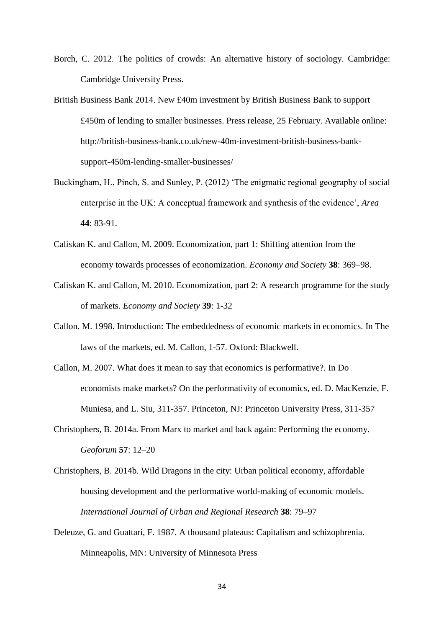- Borch, C. 2012. The politics of crowds: An alternative history of sociology. Cambridge: Cambridge University Press.
- British Business Bank 2014. New £40m investment by British Business Bank to support £450m of lending to smaller businesses. Press release, 25 February. Available online: http://british-business-bank.co.uk/new-40m-investment-british-business-banksupport-450m-lending-smaller-businesses/
- Buckingham, H., Pinch, S. and Sunley, P. (2012) 'The enigmatic regional geography of social enterprise in the UK: A conceptual framework and synthesis of the evidence', *Area* **44**: 83-91.
- Caliskan K. and Callon, M. 2009. Economization, part 1: Shifting attention from the economy towards processes of economization. *Economy and Society* **38**: 369–98.
- Caliskan K. and Callon, M. 2010. Economization, part 2: A research programme for the study of markets. *Economy and Society* **39**: 1-32
- Callon. M. 1998. Introduction: The embeddedness of economic markets in economics. In The laws of the markets, ed. M. Callon, 1-57. Oxford: Blackwell.
- Callon, M. 2007. What does it mean to say that economics is performative?. In Do economists make markets? On the performativity of economics*,* ed. D. MacKenzie, F. Muniesa, and L. Siu, 311-357. Princeton, NJ: Princeton University Press, 311-357
- Christophers, B. 2014a. From Marx to market and back again: Performing the economy. *Geoforum* **57**: 12–20
- Christophers, B. 2014b. Wild Dragons in the city: Urban political economy, affordable housing development and the performative world-making of economic models. *International Journal of Urban and Regional Research* **38**: 79–97
- Deleuze, G. and Guattari, F. 1987. A thousand plateaus: Capitalism and schizophrenia. Minneapolis, MN: University of Minnesota Press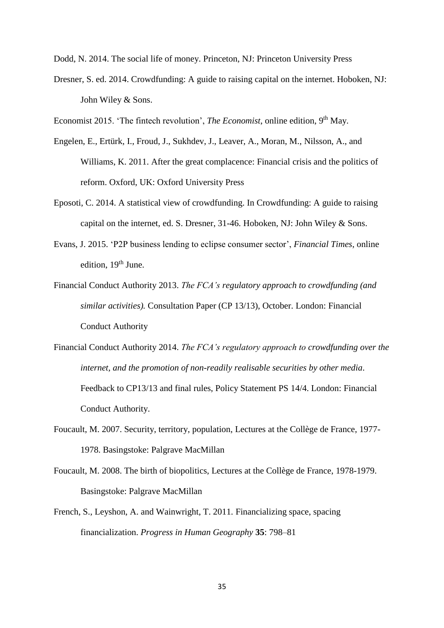Dodd, N. 2014. The social life of money. Princeton, NJ: Princeton University Press

Dresner, S. ed. 2014. Crowdfunding: A guide to raising capital on the internet. Hoboken, NJ: John Wiley & Sons.

Economist 2015. 'The fintech revolution', *The Economist*, online edition, 9<sup>th</sup> May.

- Engelen, E., Ertürk, I., Froud, J., Sukhdev, J., Leaver, A., Moran, M., Nilsson, A., and Williams, K. 2011. After the great complacence: Financial crisis and the politics of reform. Oxford, UK: Oxford University Press
- Eposoti, C. 2014. A statistical view of crowdfunding. In Crowdfunding: A guide to raising capital on the internet, ed. S. Dresner, 31-46. Hoboken, NJ: John Wiley & Sons.
- Evans, J. 2015. 'P2P business lending to eclipse consumer sector', *Financial Times*, online edition, 19<sup>th</sup> June.
- Financial Conduct Authority 2013. *The FCA's regulatory approach to crowdfunding (and similar activities).* Consultation Paper (CP 13/13), October. London: Financial Conduct Authority
- Financial Conduct Authority 2014. *The FCA's regulatory approach to crowdfunding over the internet, and the promotion of non-readily realisable securities by other media*. Feedback to CP13/13 and final rules, Policy Statement PS 14/4. London: Financial Conduct Authority.
- Foucault, M. 2007. Security, territory, population, Lectures at the Collège de France, 1977- 1978. Basingstoke: Palgrave MacMillan
- Foucault, M. 2008. The birth of biopolitics, Lectures at the Collège de France, 1978-1979. Basingstoke: Palgrave MacMillan
- French, S., Leyshon, A. and Wainwright, T. 2011. [Financializing space, spacing](http://dx.doi.org/doi:10.1177/0309132510396749)  [financialization.](http://dx.doi.org/doi:10.1177/0309132510396749) *Progress in Human Geography* **35**: 798–81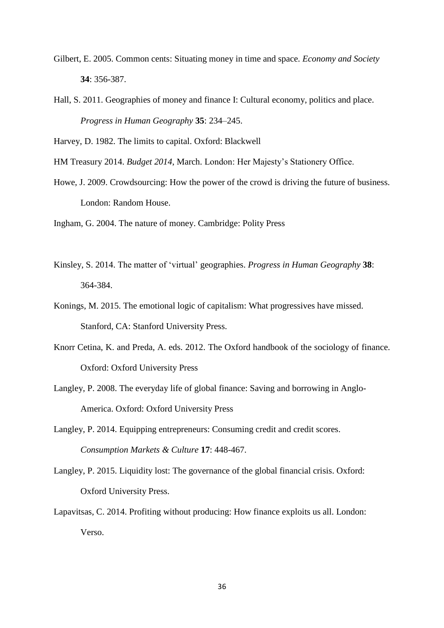- Gilbert, E. 2005. Common cents: Situating money in time and space. *Economy and Society* **34**: 356-387.
- Hall, S. 2011. Geographies of money and finance I: Cultural economy, politics and place. *Progress in Human Geography* **35**: 234–245.

Harvey, D. 1982. The limits to capital. Oxford: Blackwell

- HM Treasury 2014. *Budget 2014*, March. London: Her Majesty's Stationery Office.
- Howe, J. 2009. Crowdsourcing: How the power of the crowd is driving the future of business. London: Random House.
- Ingham, G. 2004. The nature of money. Cambridge: Polity Press
- Kinsley, S. 2014. The matter of 'virtual' geographies. *Progress in Human Geography* **38**: 364-384.
- Konings, M. 2015. The emotional logic of capitalism: What progressives have missed. Stanford, CA: Stanford University Press.
- Knorr Cetina, K. and Preda, A. eds. 2012. The Oxford handbook of the sociology of finance. Oxford: Oxford University Press
- Langley, P. 2008. The everyday life of global finance: Saving and borrowing in Anglo-America. Oxford: Oxford University Press
- Langley, P. 2014. Equipping entrepreneurs: Consuming credit and credit scores. *Consumption Markets & Culture* **17**: 448-467.
- Langley, P. 2015. Liquidity lost: The governance of the global financial crisis. Oxford: Oxford University Press.
- Lapavitsas, C. 2014. Profiting without producing: How finance exploits us all. London: Verso.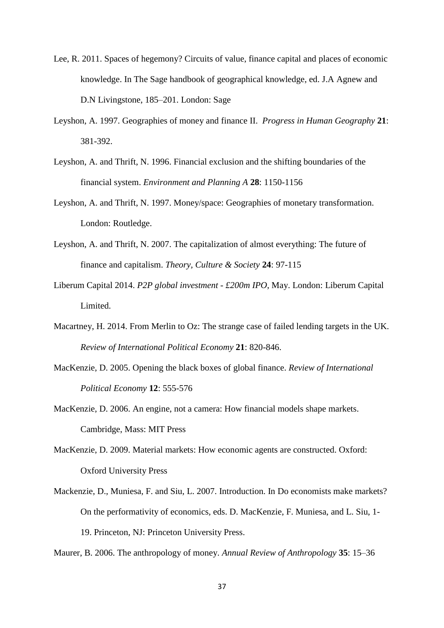- Lee, R. 2011. Spaces of hegemony? Circuits of value, finance capital and places of economic knowledge. In The Sage handbook of geographical knowledge, ed. J.A Agnew and D.N Livingstone, 185–201. London: Sage
- Leyshon, A. 1997. Geographies of money and finance II. *Progress in Human Geography* **21**: 381-392.
- Leyshon, A. and Thrift, N. 1996. Financial exclusion and the shifting boundaries of the financial system. *Environment and Planning A* **28**: 1150-1156
- Leyshon, A. and Thrift, N. 1997. Money/space: Geographies of monetary transformation. London: Routledge.
- Leyshon, A. and Thrift, N. 2007. [The capitalization of almost everything: The future of](http://dx.doi.org/10.1177/0263276407084699)  [finance and capitalism.](http://dx.doi.org/10.1177/0263276407084699) *Theory, Culture & Society* **24**: 97-115
- Liberum Capital 2014. *P2P global investment - £200m IPO*, May. London: Liberum Capital Limited.
- Macartney, H. 2014. From Merlin to Oz: The strange case of failed lending targets in the UK. *Review of International Political Economy* **21**: 820-846.
- MacKenzie, D. 2005. Opening the black boxes of global finance. *Review of International Political Economy* **12**: 555-576
- MacKenzie, D. 2006. An engine, not a camera: How financial models shape markets. Cambridge, Mass: MIT Press
- MacKenzie, D. 2009. Material markets: How economic agents are constructed. Oxford: Oxford University Press
- Mackenzie, D., Muniesa, F. and Siu, L. 2007. Introduction. In Do economists make markets? On the performativity of economics*,* eds. D. MacKenzie, F. Muniesa, and L. Siu, 1- 19. Princeton, NJ: Princeton University Press.

Maurer, B. 2006. The anthropology of money. *Annual Review of Anthropology* **35**: 15–36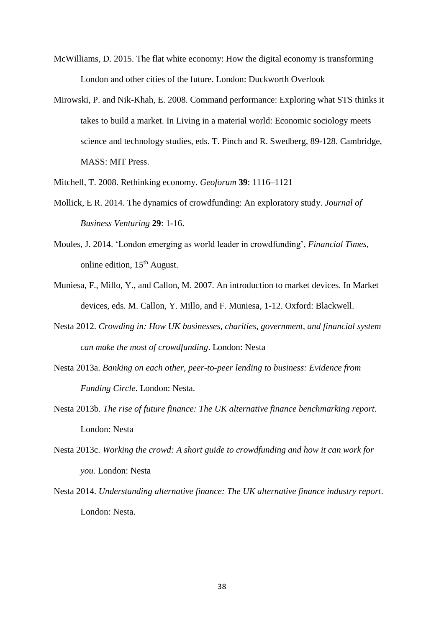- McWilliams, D. 2015. The flat white economy: How the digital economy is transforming London and other cities of the future. London: Duckworth Overlook
- Mirowski, P. and Nik-Khah, E. 2008. Command performance: Exploring what STS thinks it takes to build a market. In Living in a material world: Economic sociology meets science and technology studies, eds. T. Pinch and R. Swedberg, 89-128. Cambridge, MASS: MIT Press.
- Mitchell, T. 2008. Rethinking economy. *Geoforum* **39**: 1116–1121
- Mollick, E R. 2014. The dynamics of crowdfunding: An exploratory study. *Journal of Business Venturing* **29**: 1-16.
- Moules, J. 2014. 'London emerging as world leader in crowdfunding', *Financial Times*, online edition,  $15<sup>th</sup>$  August.
- Muniesa, F., Millo, Y., and Callon, M. 2007. An introduction to market devices. In Market devices, eds. M. Callon, Y. Millo, and F. Muniesa, 1-12. Oxford: Blackwell.
- Nesta 2012. *Crowding in: How UK businesses, charities, government, and financial system can make the most of crowdfunding*. London: Nesta
- Nesta 2013a. *Banking on each other, peer-to-peer lending to business: Evidence from Funding Circle*. London: Nesta.
- Nesta 2013b. *The rise of future finance: The UK alternative finance benchmarking report*. London: Nesta
- Nesta 2013c. *Working the crowd: A short guide to crowdfunding and how it can work for you.* London: Nesta
- Nesta 2014. *Understanding alternative finance: The UK alternative finance industry report*. London: Nesta.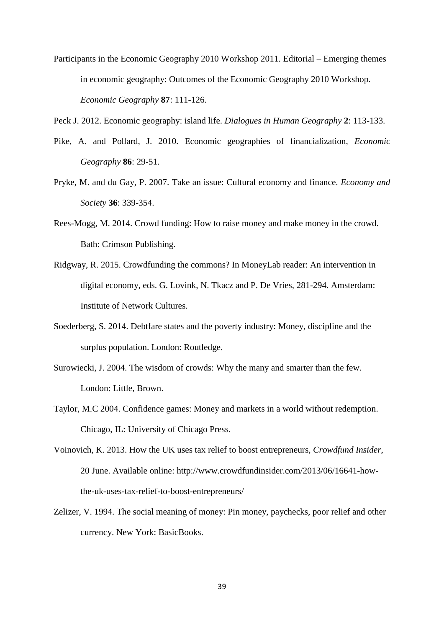Participants in the Economic Geography 2010 Workshop 2011. Editorial – Emerging themes in economic geography: Outcomes of the Economic Geography 2010 Workshop. *Economic Geography* **87**: 111-126.

Peck J. 2012. Economic geography: island life. *Dialogues in Human Geography* **2**: 113-133.

- Pike, A. and Pollard, J. 2010. Economic geographies of financialization, *Economic Geography* **86**: 29-51.
- Pryke, M. and du Gay, P. 2007. Take an issue: Cultural economy and finance. *Economy and Society* **36**: 339-354.
- Rees-Mogg, M. 2014. Crowd funding: How to raise money and make money in the crowd. Bath: Crimson Publishing.
- Ridgway, R. 2015. Crowdfunding the commons? In MoneyLab reader: An intervention in digital economy, eds. G. Lovink, N. Tkacz and P. De Vries, 281-294. Amsterdam: Institute of Network Cultures.
- Soederberg, S. 2014. Debtfare states and the poverty industry: Money, discipline and the surplus population. London: Routledge.
- Surowiecki, J. 2004. The wisdom of crowds: Why the many and smarter than the few. London: Little, Brown.
- Taylor, M.C 2004. Confidence games: Money and markets in a world without redemption. Chicago, IL: University of Chicago Press.
- Voinovich, K. 2013. How the UK uses tax relief to boost entrepreneurs, *Crowdfund Insider*, 20 June. Available online: http://www.crowdfundinsider.com/2013/06/16641-howthe-uk-uses-tax-relief-to-boost-entrepreneurs/
- Zelizer, V. 1994. The social meaning of money: Pin money, paychecks, poor relief and other currency. New York: BasicBooks.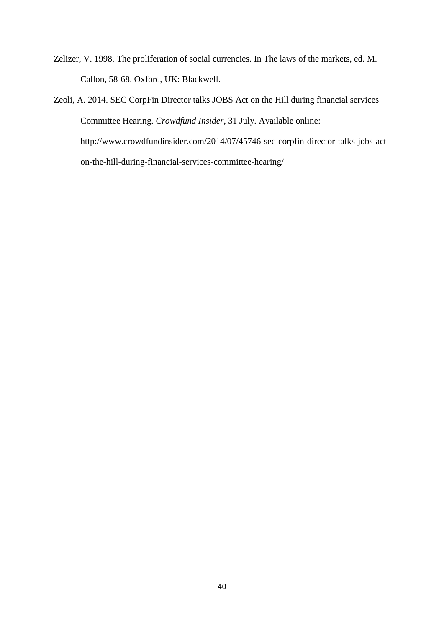- Zelizer, V. 1998. The proliferation of social currencies. In The laws of the markets, ed. M. Callon, 58-68. Oxford, UK: Blackwell.
- Zeoli, A. 2014. SEC CorpFin Director talks JOBS Act on the Hill during financial services Committee Hearing. *Crowdfund Insider*, 31 July. Available online: http://www.crowdfundinsider.com/2014/07/45746-sec-corpfin-director-talks-jobs-acton-the-hill-during-financial-services-committee-hearing/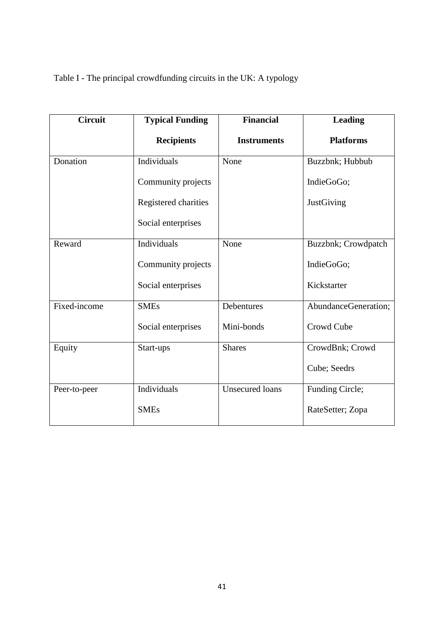Table I - The principal crowdfunding circuits in the UK: A typology

| <b>Circuit</b> | <b>Typical Funding</b> | <b>Financial</b>       | <b>Leading</b>       |
|----------------|------------------------|------------------------|----------------------|
|                | <b>Recipients</b>      | <b>Instruments</b>     | <b>Platforms</b>     |
| Donation       | Individuals            | None                   | Buzzbnk; Hubbub      |
|                | Community projects     |                        | IndieGoGo;           |
|                | Registered charities   |                        | JustGiving           |
|                | Social enterprises     |                        |                      |
| Reward         | Individuals            | None                   | Buzzbnk; Crowdpatch  |
|                | Community projects     |                        | IndieGoGo;           |
|                | Social enterprises     |                        | Kickstarter          |
| Fixed-income   | <b>SMEs</b>            | Debentures             | AbundanceGeneration; |
|                | Social enterprises     | Mini-bonds             | Crowd Cube           |
| Equity         | Start-ups              | <b>Shares</b>          | CrowdBnk; Crowd      |
|                |                        |                        | Cube; Seedrs         |
| Peer-to-peer   | Individuals            | <b>Unsecured loans</b> | Funding Circle;      |
|                | <b>SMEs</b>            |                        | RateSetter; Zopa     |